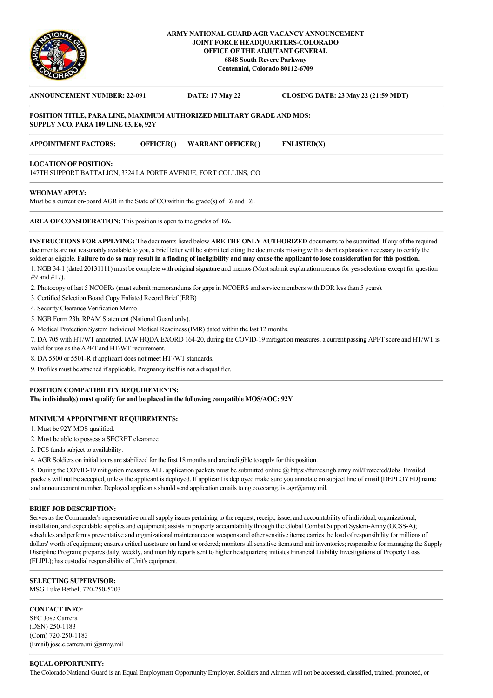

# **ARMY NATIONAL GUARD AGR VACANCY ANNOUNCEMENT JOINT FORCE HEADQUARTERS-COLORADO OFFICE OF THE ADJUTANT GENERAL 6848 South Revere Parkway Centennial, Colorado 80112-6709**

# **ANNOUNCEMENT NUMBER: 22-091 DATE: 17 May 22 CLOSING DATE: 23 May 22 (21:59 MDT) POSITION TITLE, PARA LINE, MAXIMUM AUTHORIZED MILITARY GRADE AND MOS: SUPPLY NCO, PARA 109 LINE 03, E6, 92Y APPOINTMENT FACTORS: OFFICER( ) WARRANT OFFICER( ) ENLISTED(X)**

#### **LOCATION OF POSITION:**

147TH SUPPORT BATTALION, 3324 LA PORTE AVENUE, FORT COLLINS, CO

#### **WHO MAY APPLY:**

Must be a current on-board AGR in the State of CO within the grade(s) of E6 and E6.

**AREA OF CONSIDERATION:** This position is open to the grades of **E6.**

**INSTRUCTIONS FOR APPLYING:** The documents listed below **ARE THE ONLY AUTHORIZED** documents to be submitted. If any of the required documents are not reasonably available to you, a brief letter will be submitted citing the documents missing with a short explanation necessary to certify the soldier as eligible. **Failure to do so may result in a finding of ineligibility and may cause the applicant to lose consideration for this position.** 1. NGB 34-1 (dated 20131111) must be complete with original signature and memos (Must submit explanation memos for yes selections except for question #9 and #17).

2. Photocopy of last 5 NCOERs (must submit memorandums for gaps in NCOERS and service members with DOR less than 5 years).

3. Certified Selection Board Copy Enlisted Record Brief (ERB)

4. Security Clearance Verification Memo

5. NGB Form 23b, RPAM Statement (National Guard only).

6. Medical Protection System Individual Medical Readiness (IMR) dated within the last 12 months.

7. DA 705 with HT/WT annotated. IAW HQDA EXORD 164-20, during the COVID-19 mitigation measures, a current passing APFT score and HT/WT is valid for use as the APFT and HT/WT requirement.

8. DA 5500 or 5501-R if applicant does not meet HT /WT standards.

9. Profiles must be attached if applicable. Pregnancy itself is not a disqualifier.

# **POSITION COMPATIBILITY REQUIREMENTS:**

**The individual(s) must qualify for and be placed in the following compatible MOS/AOC: 92Y**

## **MINIMUM APPOINTMENT REQUIREMENTS:**

1. Must be 92Y MOS qualified.

2. Must be able to possess a SECRET clearance

3. PCS funds subject to availability.

4. AGR Soldiers on initial tours are stabilized for the first 18 months and are ineligible to apply for this position.

5. During the COVID-19 mitigation measures ALL application packets must be submitted online @ https://ftsmcs.ngb.army.mil/Protected/Jobs. Emailed packets will not be accepted, unless the applicant is deployed. If applicant is deployed make sure you annotate on subject line of email (DEPLOYED) name and announcement number. Deployed applicants should send application emails to ng.co.coarng.list.agr@army.mil.

#### **BRIEF JOB DESCRIPTION:**

Serves as the Commander's representative on all supply issues pertaining to the request, receipt, issue, and accountability of individual, organizational, installation, and expendable supplies and equipment; assists in property accountability through the Global Combat Support System-Army (GCSS-A); schedules and performs preventative and organizational maintenance on weapons and other sensitive items; carries the load of responsibility for millions of dollars' worth of equipment; ensures critical assets are on hand or ordered; monitors all sensitive items and unit inventories; responsible for managing the Supply Discipline Program; prepares daily, weekly, and monthly reports sent to higher headquarters; initiates Financial Liability Investigations of Property Loss (FLIPL); has custodial responsibility of Unit's equipment.

# **SELECTING SUPERVISOR:**

MSG Luke Bethel, 720-250-5203

#### **CONTACT INFO:**

SFC Jose Carrera (DSN) 250-1183 (Com) 720-250-1183 (Email) jose.c.carrera.mil@army.mil

## **EQUAL OPPORTUNITY:**

The Colorado National Guard is an Equal Employment Opportunity Employer. Soldiers and Airmen will not be accessed, classified, trained, promoted, or